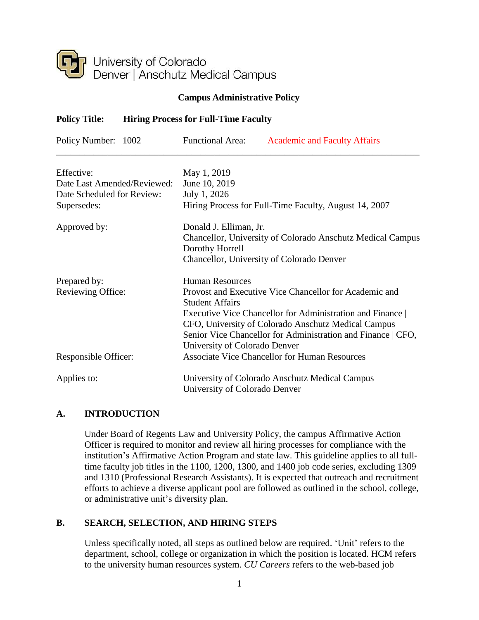

#### **Campus Administrative Policy**

# **Policy Title: Hiring Process for Full-Time Faculty**

| Policy Number: 1002         | <b>Functional Area:</b><br><b>Academic and Faculty Affairs</b>                   |
|-----------------------------|----------------------------------------------------------------------------------|
| Effective:                  | May 1, 2019                                                                      |
| Date Last Amended/Reviewed: | June 10, 2019                                                                    |
| Date Scheduled for Review:  | July 1, 2026                                                                     |
| Supersedes:                 | Hiring Process for Full-Time Faculty, August 14, 2007                            |
| Approved by:                | Donald J. Elliman, Jr.                                                           |
|                             | Chancellor, University of Colorado Anschutz Medical Campus                       |
|                             | Dorothy Horrell                                                                  |
|                             | Chancellor, University of Colorado Denver                                        |
| Prepared by:                | <b>Human Resources</b>                                                           |
| Reviewing Office:           | Provost and Executive Vice Chancellor for Academic and<br><b>Student Affairs</b> |
|                             | Executive Vice Chancellor for Administration and Finance                         |
|                             | CFO, University of Colorado Anschutz Medical Campus                              |
|                             | Senior Vice Chancellor for Administration and Finance   CFO,                     |
|                             | University of Colorado Denver                                                    |
| Responsible Officer:        | <b>Associate Vice Chancellor for Human Resources</b>                             |
| Applies to:                 | University of Colorado Anschutz Medical Campus                                   |
|                             | University of Colorado Denver                                                    |

# **A. INTRODUCTION**

Under Board of Regents Law and University Policy, the campus Affirmative Action Officer is required to monitor and review all hiring processes for compliance with the institution's Affirmative Action Program and state law. This guideline applies to all fulltime faculty job titles in the 1100, 1200, 1300, and 1400 job code series, excluding 1309 and 1310 (Professional Research Assistants). It is expected that outreach and recruitment efforts to achieve a diverse applicant pool are followed as outlined in the school, college, or administrative unit's diversity plan.

#### **B. SEARCH, SELECTION, AND HIRING STEPS**

Unless specifically noted, all steps as outlined below are required. 'Unit' refers to the department, school, college or organization in which the position is located. HCM refers to the university human resources system. *CU Careers* refers to the web-based job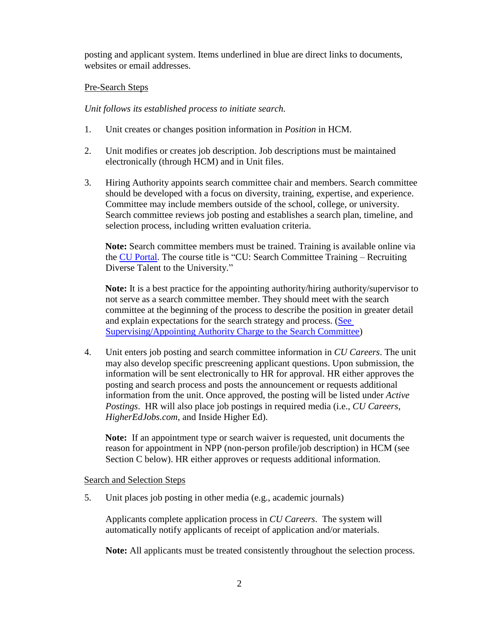posting and applicant system. Items underlined in blue are direct links to documents, websites or email addresses.

#### Pre-Search Steps

*Unit follows its established process to initiate search.*

- 1. Unit creates or changes position information in *Position* in HCM.
- 2. Unit modifies or creates job description. Job descriptions must be maintained electronically (through HCM) and in Unit files.
- 3. Hiring Authority appoints search committee chair and members. Search committee should be developed with a focus on diversity, training, expertise, and experience. Committee may include members outside of the school, college, or university. Search committee reviews job posting and establishes a search plan, timeline, and selection process, including written evaluation criteria.

**Note:** Search committee members must be trained. Training is available online via the CU [Portal.](https://passport.ucdenver.edu/login.php) The course title is "CU: Search Committee Training – Recruiting Diverse Talent to the University."

**Note:** It is a best practice for the appointing authority/hiring authority/supervisor to not serve as a search committee member. They should meet with the search committee at the beginning of the process to describe the position in greater detail and explain expectations for the search strategy and process. [\(See](http://www.ucdenver.edu/about/departments/HR/resourcesforemployees/employeecategories/Pages/universitystaff.aspx) [Supervising/Appointing Authority Charge to the Search Committee\)](http://www.ucdenver.edu/about/departments/HR/resourcesforemployees/employeecategories/Pages/universitystaff.aspx)

4. Unit enters job posting and search committee information in *CU Careers*. The unit may also develop specific prescreening applicant questions. Upon submission, the information will be sent electronically to HR for approval. HR either approves the posting and search process and posts the announcement or requests additional information from the unit. Once approved, the posting will be listed under *Active Postings*. HR will also place job postings in required media (i.e., *CU Careers*, *HigherEdJobs.com*, and Inside Higher Ed).

**Note:** If an appointment type or search waiver is requested, unit documents the reason for appointment in NPP (non-person profile/job description) in HCM (see Section C below). HR either approves or requests additional information.

Search and Selection Steps

5. Unit places job posting in other media (e.g., academic journals)

Applicants complete application process in *CU Careers*. The system will automatically notify applicants of receipt of application and/or materials.

**Note:** All applicants must be treated consistently throughout the selection process.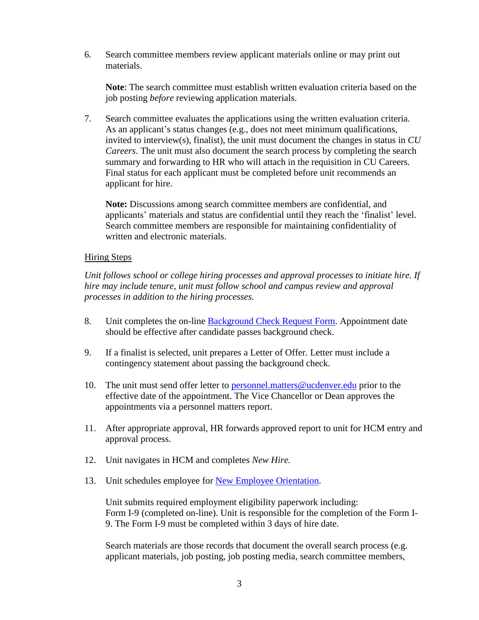6. Search committee members review applicant materials online or may print out materials.

**Note**: The search committee must establish written evaluation criteria based on the job posting *before* reviewing application materials.

7. Search committee evaluates the applications using the written evaluation criteria. As an applicant's status changes (e.g., does not meet minimum qualifications, invited to interview(s), finalist), the unit must document the changes in status in *CU Careers*. The unit must also document the search process by completing the search summary and forwarding to HR who will attach in the requisition in CU Careers. Final status for each applicant must be completed before unit recommends an applicant for hire.

**Note:** Discussions among search committee members are confidential, and applicants' materials and status are confidential until they reach the 'finalist' level. Search committee members are responsible for maintaining confidentiality of written and electronic materials.

#### Hiring Steps

*Unit follows school or college hiring processes and approval processes to initiate hire. If hire may include tenure, unit must follow school and campus review and approval processes in addition to the hiring processes.*

- 8. Unit completes the on-line [Background Check Request Form.](https://forms.ucdenver.edu/secure/background_check_request) Appointment date should be effective after candidate passes background check.
- 9. If a finalist is selected, unit prepares a Letter of Offer. Letter must include a contingency statement about passing the background check.
- 10. The unit must send offer letter to [personnel.matters@ucdenver.edu](mailto:personnel.matters@ucdenver.edu) prior to the effective date of the appointment. The Vice Chancellor or Dean approves the appointments via a personnel matters report.
- 11. After appropriate approval, HR forwards approved report to unit for HCM entry and approval process.
- 12. Unit navigates in HCM and completes *New Hire.*
- 13. Unit schedules employee for New Employee [Orientation.](http://www.ucdenver.edu/about/departments/HR/resourcesforemployees/employeeperformanceanddevelopment/Pages/requiredtrainings.aspx)

Unit submits required employment eligibility paperwork including: [Form](http://www.uscis.gov/files/form/i-9.pdf) I-9 (completed on-line). Unit is responsible for the completion of the Form I-9. The Form I-9 must be completed within 3 days of hire date.

Search materials are those records that document the overall search process (e.g. applicant materials, job posting, job posting media, search committee members,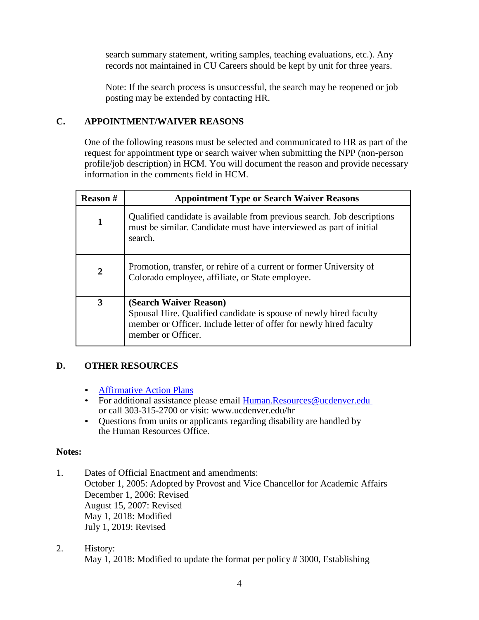search summary statement, writing samples, teaching evaluations, etc.). Any records not maintained in CU Careers should be kept by unit for three years.

Note: If the search process is unsuccessful, the search may be reopened or job posting may be extended by contacting HR.

# **C. APPOINTMENT/WAIVER REASONS**

One of the following reasons must be selected and communicated to HR as part of the request for appointment type or search waiver when submitting the NPP (non-person profile/job description) in HCM. You will document the reason and provide necessary information in the comments field in HCM.

| <b>Reason#</b> | <b>Appointment Type or Search Waiver Reasons</b>                                                                                                                                         |
|----------------|------------------------------------------------------------------------------------------------------------------------------------------------------------------------------------------|
| 1              | Qualified candidate is available from previous search. Job descriptions<br>must be similar. Candidate must have interviewed as part of initial<br>search.                                |
| $\overline{2}$ | Promotion, transfer, or rehire of a current or former University of<br>Colorado employee, affiliate, or State employee.                                                                  |
| 3              | (Search Waiver Reason)<br>Spousal Hire. Qualified candidate is spouse of newly hired faculty<br>member or Officer. Include letter of offer for newly hired faculty<br>member or Officer. |

# **D. OTHER RESOURCES**

- [Affirmative Action Plans](http://equity.ucdenver.edu/affirmative-action/)
- For additional assistance please email [Human.Resources@ucdenver.edu](mailto:Human.Resources@ucdenver.edu) or call 303-315-2700 or visit: www.ucdenver.edu/hr
- Questions from units or applicants regarding disability are handled by the Human Resources Office.

# **Notes:**

- 1. Dates of Official Enactment and amendments: October 1, 2005: Adopted by Provost and Vice Chancellor for Academic Affairs December 1, 2006: Revised August 15, 2007: Revised May 1, 2018: Modified July 1, 2019: Revised
- 2. History: May 1, 2018: Modified to update the format per policy # 3000, Establishing